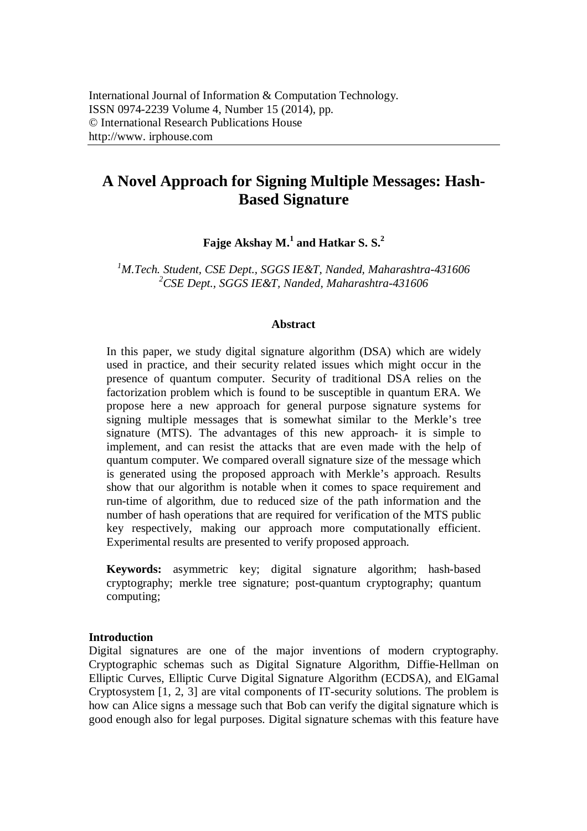# **A Novel Approach for Signing Multiple Messages: Hash-Based Signature**

**Fajge Akshay M.<sup>1</sup> and Hatkar S. S.<sup>2</sup>**

*<sup>1</sup>M.Tech. Student, CSE Dept., SGGS IE&T, Nanded, Maharashtra-431606 <sup>2</sup>CSE Dept., SGGS IE&T, Nanded, Maharashtra-431606*

# **Abstract**

In this paper, we study digital signature algorithm (DSA) which are widely used in practice, and their security related issues which might occur in the presence of quantum computer. Security of traditional DSA relies on the factorization problem which is found to be susceptible in quantum ERA. We propose here a new approach for general purpose signature systems for signing multiple messages that is somewhat similar to the Merkle's tree signature (MTS). The advantages of this new approach- it is simple to implement, and can resist the attacks that are even made with the help of quantum computer. We compared overall signature size of the message which is generated using the proposed approach with Merkle's approach. Results show that our algorithm is notable when it comes to space requirement and run-time of algorithm, due to reduced size of the path information and the number of hash operations that are required for verification of the MTS public key respectively, making our approach more computationally efficient. Experimental results are presented to verify proposed approach.

**Keywords:** asymmetric key; digital signature algorithm; hash-based cryptography; merkle tree signature; post-quantum cryptography; quantum computing;

#### **Introduction**

Digital signatures are one of the major inventions of modern cryptography. Cryptographic schemas such as Digital Signature Algorithm, Diffie-Hellman on Elliptic Curves, Elliptic Curve Digital Signature Algorithm (ECDSA), and ElGamal Cryptosystem [1, 2, 3] are vital components of IT-security solutions. The problem is how can Alice signs a message such that Bob can verify the digital signature which is good enough also for legal purposes. Digital signature schemas with this feature have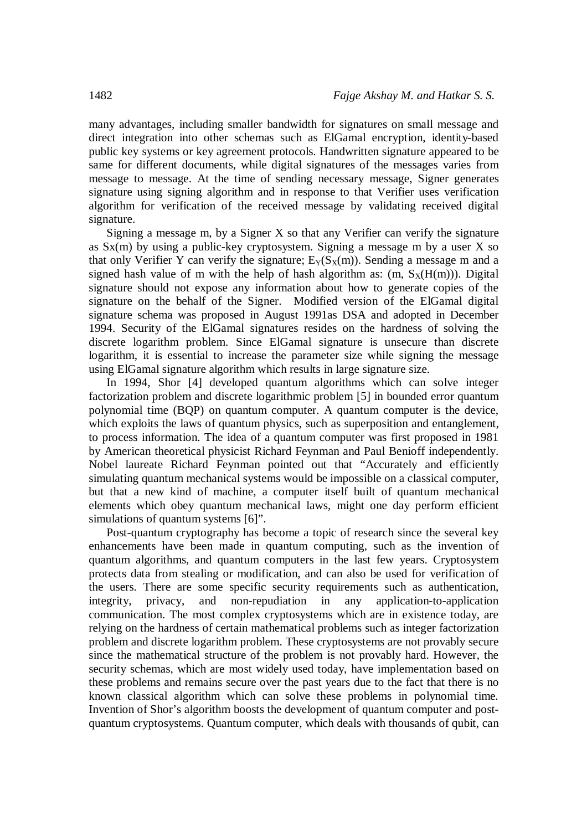many advantages, including smaller bandwidth for signatures on small message and direct integration into other schemas such as ElGamal encryption, identity-based public key systems or key agreement protocols. Handwritten signature appeared to be same for different documents, while digital signatures of the messages varies from message to message. At the time of sending necessary message, Signer generates signature using signing algorithm and in response to that Verifier uses verification algorithm for verification of the received message by validating received digital signature.

Signing a message m, by a Signer X so that any Verifier can verify the signature as  $Sx(m)$  by using a public-key cryptosystem. Signing a message m by a user X so that only Verifier Y can verify the signature;  $E_Y(S_X(m))$ . Sending a message m and a signed hash value of m with the help of hash algorithm as:  $(m, S_X(H(m)))$ . Digital signature should not expose any information about how to generate copies of the signature on the behalf of the Signer. Modified version of the ElGamal digital signature schema was proposed in August 1991as DSA and adopted in December 1994. Security of the ElGamal signatures resides on the hardness of solving the discrete logarithm problem. Since ElGamal signature is unsecure than discrete logarithm, it is essential to increase the parameter size while signing the message using ElGamal signature algorithm which results in large signature size.

In 1994, Shor [4] developed quantum algorithms which can solve integer factorization problem and discrete logarithmic problem [5] in bounded error quantum polynomial time (BQP) on quantum computer. A quantum computer is the device, which exploits the laws of quantum physics, such as superposition and entanglement, to process information. The idea of a quantum computer was first proposed in 1981 by American theoretical physicist Richard Feynman and Paul Benioff independently. Nobel laureate Richard Feynman pointed out that "Accurately and efficiently simulating quantum mechanical systems would be impossible on a classical computer, but that a new kind of machine, a computer itself built of quantum mechanical elements which obey quantum mechanical laws, might one day perform efficient simulations of quantum systems [6]".

Post-quantum cryptography has become a topic of research since the several key enhancements have been made in quantum computing, such as the invention of quantum algorithms, and quantum computers in the last few years. Cryptosystem protects data from stealing or modification, and can also be used for verification of the users. There are some specific security requirements such as authentication, integrity, privacy, and non-repudiation in any application-to-application communication. The most complex cryptosystems which are in existence today, are relying on the hardness of certain mathematical problems such as integer factorization problem and discrete logarithm problem. These cryptosystems are not provably secure since the mathematical structure of the problem is not provably hard. However, the security schemas, which are most widely used today, have implementation based on these problems and remains secure over the past years due to the fact that there is no known classical algorithm which can solve these problems in polynomial time. Invention of Shor's algorithm boosts the development of quantum computer and postquantum cryptosystems. Quantum computer, which deals with thousands of qubit, can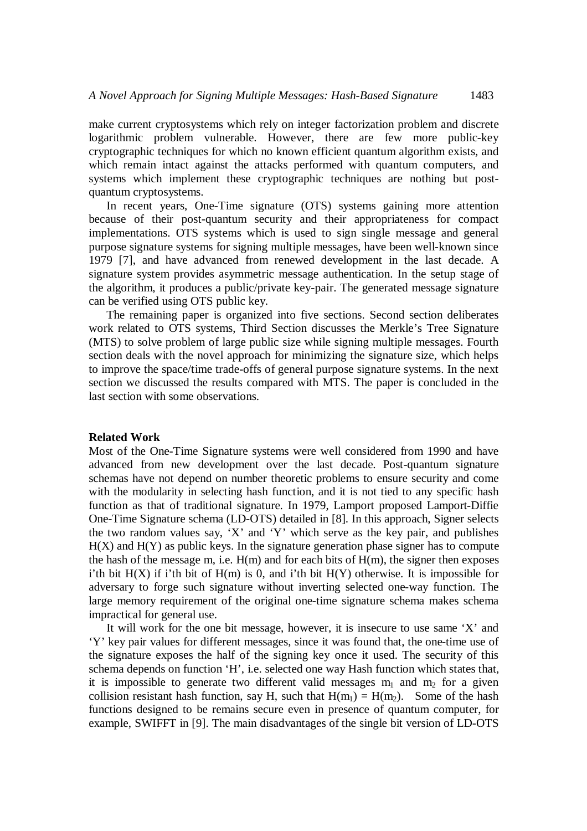make current cryptosystems which rely on integer factorization problem and discrete logarithmic problem vulnerable. However, there are few more public-key cryptographic techniques for which no known efficient quantum algorithm exists, and which remain intact against the attacks performed with quantum computers, and systems which implement these cryptographic techniques are nothing but postquantum cryptosystems.

In recent years, One-Time signature (OTS) systems gaining more attention because of their post-quantum security and their appropriateness for compact implementations. OTS systems which is used to sign single message and general purpose signature systems for signing multiple messages, have been well-known since 1979 [7], and have advanced from renewed development in the last decade. A signature system provides asymmetric message authentication. In the setup stage of the algorithm, it produces a public/private key-pair. The generated message signature can be verified using OTS public key.

The remaining paper is organized into five sections. Second section deliberates work related to OTS systems, Third Section discusses the Merkle's Tree Signature (MTS) to solve problem of large public size while signing multiple messages. Fourth section deals with the novel approach for minimizing the signature size, which helps to improve the space/time trade-offs of general purpose signature systems. In the next section we discussed the results compared with MTS. The paper is concluded in the last section with some observations.

# **Related Work**

Most of the One-Time Signature systems were well considered from 1990 and have advanced from new development over the last decade. Post-quantum signature schemas have not depend on number theoretic problems to ensure security and come with the modularity in selecting hash function, and it is not tied to any specific hash function as that of traditional signature. In 1979, Lamport proposed Lamport-Diffie One-Time Signature schema (LD-OTS) detailed in [8]. In this approach, Signer selects the two random values say, 'X' and 'Y' which serve as the key pair, and publishes  $H(X)$  and  $H(Y)$  as public keys. In the signature generation phase signer has to compute the hash of the message m, i.e.  $H(m)$  and for each bits of  $H(m)$ , the signer then exposes i'th bit  $H(X)$  if i'th bit of  $H(m)$  is 0, and i'th bit  $H(Y)$  otherwise. It is impossible for adversary to forge such signature without inverting selected one-way function. The large memory requirement of the original one-time signature schema makes schema impractical for general use.

It will work for the one bit message, however, it is insecure to use same 'X' and 'Y' key pair values for different messages, since it was found that, the one-time use of the signature exposes the half of the signing key once it used. The security of this schema depends on function 'H', i.e. selected one way Hash function which states that, it is impossible to generate two different valid messages  $m_1$  and  $m_2$  for a given collision resistant hash function, say H, such that  $H(m_1) = H(m_2)$ . Some of the hash functions designed to be remains secure even in presence of quantum computer, for example, SWIFFT in [9]. The main disadvantages of the single bit version of LD-OTS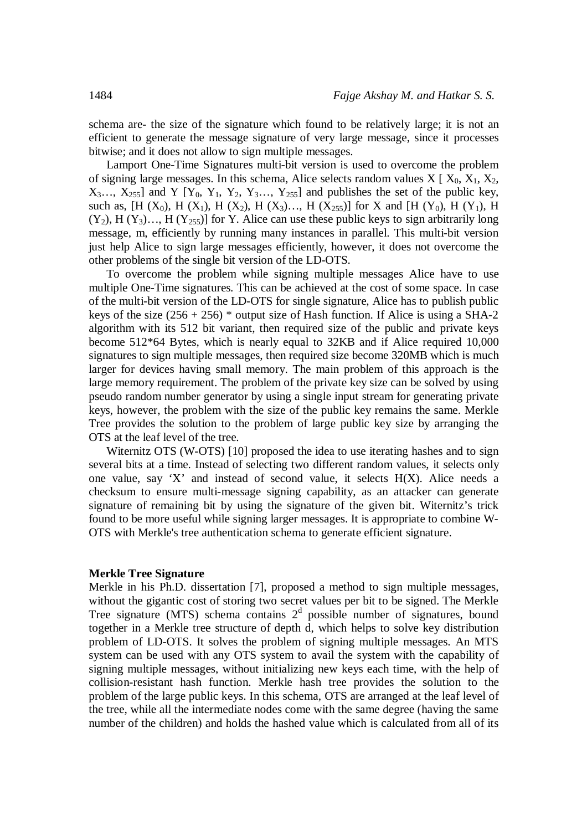schema are- the size of the signature which found to be relatively large; it is not an efficient to generate the message signature of very large message, since it processes bitwise; and it does not allow to sign multiple messages.

Lamport One-Time Signatures multi-bit version is used to overcome the problem of signing large messages. In this schema, Alice selects random values  $X \mid X_0, X_1, X_2,$  $X_3...$ ,  $X_{255}$ ] and Y  $[Y_0, Y_1, Y_2, Y_3...$ ,  $Y_{255}$ ] and publishes the set of the public key, such as,  $[H (X_0), H (X_1), H (X_2), H (X_3), \ldots, H (X_{255})]$  for X and  $[H (Y_0), H (Y_1), H (Y_2), \ldots, H (X_{255})]$  $(Y_2)$ , H  $(Y_3)$ …, H  $(Y_{255})$ ] for Y. Alice can use these public keys to sign arbitrarily long message, m, efficiently by running many instances in parallel. This multi-bit version just help Alice to sign large messages efficiently, however, it does not overcome the other problems of the single bit version of the LD-OTS.

To overcome the problem while signing multiple messages Alice have to use multiple One-Time signatures. This can be achieved at the cost of some space. In case of the multi-bit version of the LD-OTS for single signature, Alice has to publish public keys of the size  $(256 + 256)$  \* output size of Hash function. If Alice is using a SHA-2 algorithm with its 512 bit variant, then required size of the public and private keys become 512\*64 Bytes, which is nearly equal to 32KB and if Alice required 10,000 signatures to sign multiple messages, then required size become 320MB which is much larger for devices having small memory. The main problem of this approach is the large memory requirement. The problem of the private key size can be solved by using pseudo random number generator by using a single input stream for generating private keys, however, the problem with the size of the public key remains the same. Merkle Tree provides the solution to the problem of large public key size by arranging the OTS at the leaf level of the tree.

Witernitz OTS (W-OTS) [10] proposed the idea to use iterating hashes and to sign several bits at a time. Instead of selecting two different random values, it selects only one value, say 'X' and instead of second value, it selects  $H(X)$ . Alice needs a checksum to ensure multi-message signing capability, as an attacker can generate signature of remaining bit by using the signature of the given bit. Witernitz's trick found to be more useful while signing larger messages. It is appropriate to combine W-OTS with Merkle's tree authentication schema to generate efficient signature.

#### **Merkle Tree Signature**

Merkle in his Ph.D. dissertation [7], proposed a method to sign multiple messages, without the gigantic cost of storing two secret values per bit to be signed. The Merkle Tree signature (MTS) schema contains  $2<sup>d</sup>$  possible number of signatures, bound together in a Merkle tree structure of depth d, which helps to solve key distribution problem of LD-OTS. It solves the problem of signing multiple messages. An MTS system can be used with any OTS system to avail the system with the capability of signing multiple messages, without initializing new keys each time, with the help of collision-resistant hash function. Merkle hash tree provides the solution to the problem of the large public keys. In this schema, OTS are arranged at the leaf level of the tree, while all the intermediate nodes come with the same degree (having the same number of the children) and holds the hashed value which is calculated from all of its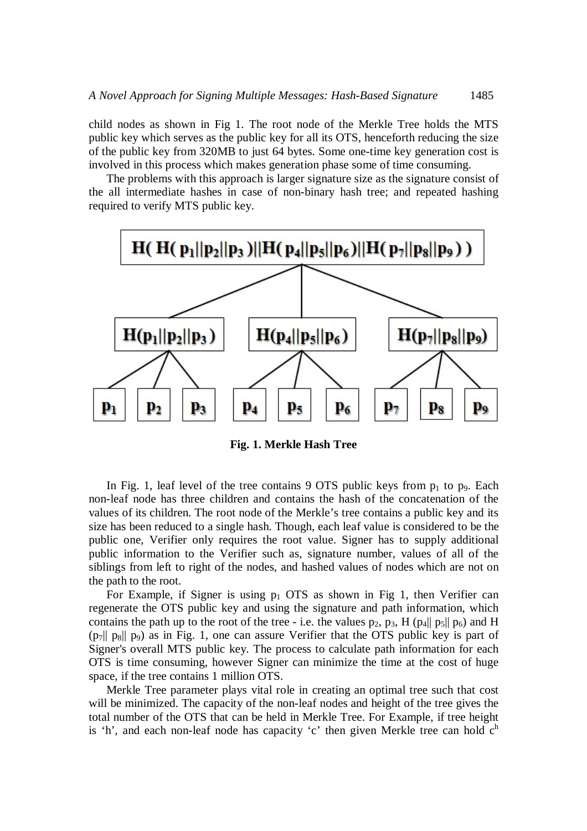child nodes as shown in Fig 1. The root node of the Merkle Tree holds the MTS public key which serves as the public key for all its OTS, henceforth reducing the size of the public key from 320MB to just 64 bytes. Some one-time key generation cost is involved in this process which makes generation phase some of time consuming.

The problems with this approach is larger signature size as the signature consist of the all intermediate hashes in case of non-binary hash tree; and repeated hashing required to verify MTS public key.



**Fig. 1. Merkle Hash Tree**

In Fig. 1, leaf level of the tree contains 9 OTS public keys from  $p_1$  to  $p_9$ . Each non-leaf node has three children and contains the hash of the concatenation of the values of its children. The root node of the Merkle's tree contains a public key and its size has been reduced to a single hash. Though, each leaf value is considered to be the public one, Verifier only requires the root value. Signer has to supply additional public information to the Verifier such as, signature number, values of all of the siblings from left to right of the nodes, and hashed values of nodes which are not on the path to the root.

For Example, if Signer is using  $p_1$  OTS as shown in Fig 1, then Verifier can regenerate the OTS public key and using the signature and path information, which contains the path up to the root of the tree - i.e. the values  $p_2$ ,  $p_3$ , H ( $p_4$ ||  $p_5$ ||  $p_6$ ) and H  $(p_7|| p_8|| p_9)$  as in Fig. 1, one can assure Verifier that the OTS public key is part of Signer's overall MTS public key. The process to calculate path information for each OTS is time consuming, however Signer can minimize the time at the cost of huge space, if the tree contains 1 million OTS.

Merkle Tree parameter plays vital role in creating an optimal tree such that cost will be minimized. The capacity of the non-leaf nodes and height of the tree gives the total number of the OTS that can be held in Merkle Tree. For Example, if tree height is 'h', and each non-leaf node has capacity 'c' then given Merkle tree can hold  $c<sup>h</sup>$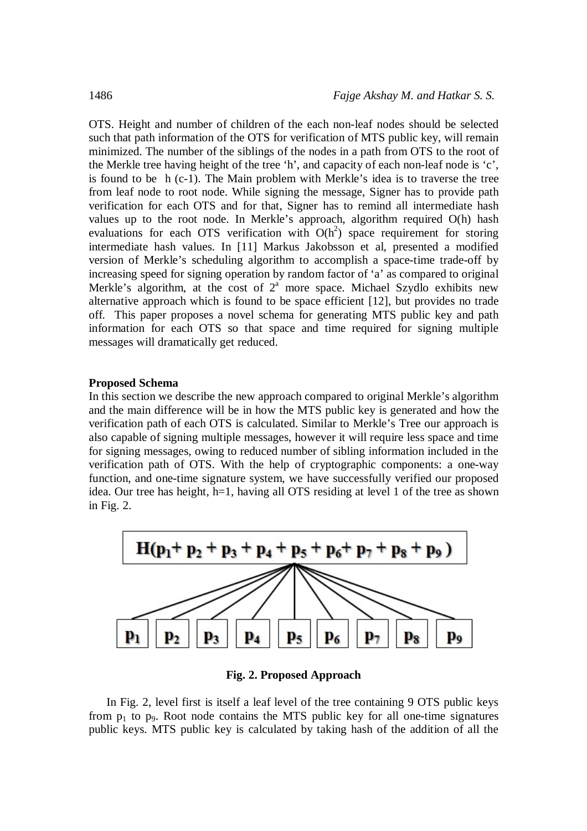OTS. Height and number of children of the each non-leaf nodes should be selected such that path information of the OTS for verification of MTS public key, will remain minimized. The number of the siblings of the nodes in a path from OTS to the root of the Merkle tree having height of the tree 'h', and capacity of each non-leaf node is 'c', is found to be h (c-1). The Main problem with Merkle's idea is to traverse the tree from leaf node to root node. While signing the message, Signer has to provide path verification for each OTS and for that, Signer has to remind all intermediate hash values up to the root node. In Merkle's approach, algorithm required O(h) hash evaluations for each OTS verification with  $O(h^2)$  space requirement for storing intermediate hash values. In [11] Markus Jakobsson et al, presented a modified version of Merkle's scheduling algorithm to accomplish a space-time trade-off by increasing speed for signing operation by random factor of 'a' as compared to original Merkle's algorithm, at the cost of  $2<sup>a</sup>$  more space. Michael Szydlo exhibits new alternative approach which is found to be space efficient [12], but provides no trade off. This paper proposes a novel schema for generating MTS public key and path information for each OTS so that space and time required for signing multiple messages will dramatically get reduced.

# **Proposed Schema**

In this section we describe the new approach compared to original Merkle's algorithm and the main difference will be in how the MTS public key is generated and how the verification path of each OTS is calculated. Similar to Merkle's Tree our approach is also capable of signing multiple messages, however it will require less space and time for signing messages, owing to reduced number of sibling information included in the verification path of OTS. With the help of cryptographic components: a one-way function, and one-time signature system, we have successfully verified our proposed idea. Our tree has height, h=1, having all OTS residing at level 1 of the tree as shown in Fig. 2.



**Fig. 2. Proposed Approach**

In Fig. 2, level first is itself a leaf level of the tree containing 9 OTS public keys from  $p_1$  to  $p_9$ . Root node contains the MTS public key for all one-time signatures public keys. MTS public key is calculated by taking hash of the addition of all the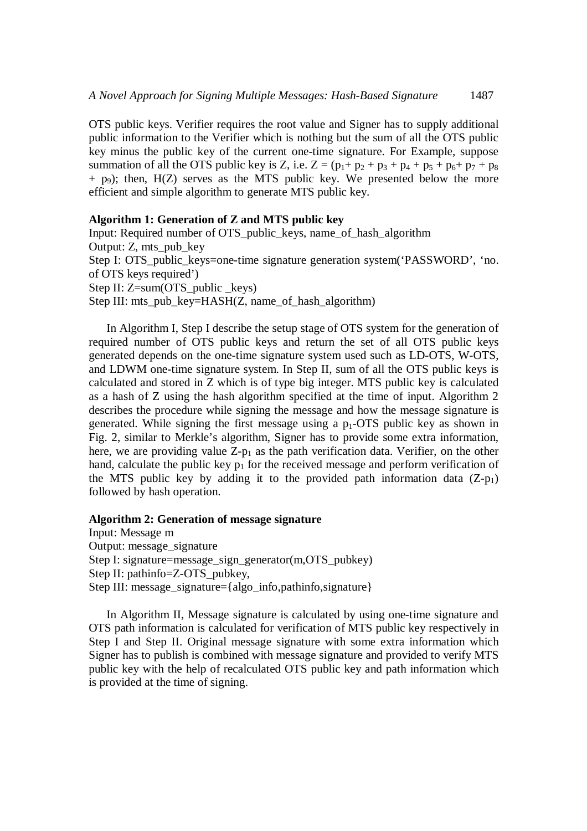OTS public keys. Verifier requires the root value and Signer has to supply additional public information to the Verifier which is nothing but the sum of all the OTS public key minus the public key of the current one-time signature. For Example, suppose summation of all the OTS public key is Z, i.e.  $Z = (p_1 + p_2 + p_3 + p_4 + p_5 + p_6 + p_7 + p_8)$  $+$  p<sub>9</sub>); then, H(Z) serves as the MTS public key. We presented below the more efficient and simple algorithm to generate MTS public key.

#### **Algorithm 1: Generation of Z and MTS public key**

Input: Required number of OTS public keys, name of hash algorithm Output: Z, mts\_pub\_key Step I: OTS public keys=one-time signature generation system('PASSWORD', 'no. of OTS keys required') Step II: Z=sum(OTS\_public \_keys) Step III: mts\_pub\_key=HASH $(Z,$  name\_of\_hash\_algorithm)

In Algorithm I, Step I describe the setup stage of OTS system for the generation of required number of OTS public keys and return the set of all OTS public keys generated depends on the one-time signature system used such as LD-OTS, W-OTS, and LDWM one-time signature system. In Step II, sum of all the OTS public keys is calculated and stored in Z which is of type big integer. MTS public key is calculated as a hash of Z using the hash algorithm specified at the time of input. Algorithm 2 describes the procedure while signing the message and how the message signature is generated. While signing the first message using a  $p_1$ -OTS public key as shown in Fig. 2, similar to Merkle's algorithm, Signer has to provide some extra information, here, we are providing value  $Z-p_1$  as the path verification data. Verifier, on the other hand, calculate the public key  $p_1$  for the received message and perform verification of the MTS public key by adding it to the provided path information data  $(Z-p_1)$ followed by hash operation.

**Algorithm 2: Generation of message signature**

Input: Message m Output: message\_signature Step I: signature=message\_sign\_generator(m,OTS\_pubkey) Step II: pathinfo=Z-OTS\_pubkey, Step III: message\_signature={algo\_info,pathinfo,signature}

In Algorithm II, Message signature is calculated by using one-time signature and OTS path information is calculated for verification of MTS public key respectively in Step I and Step II. Original message signature with some extra information which Signer has to publish is combined with message signature and provided to verify MTS public key with the help of recalculated OTS public key and path information which is provided at the time of signing.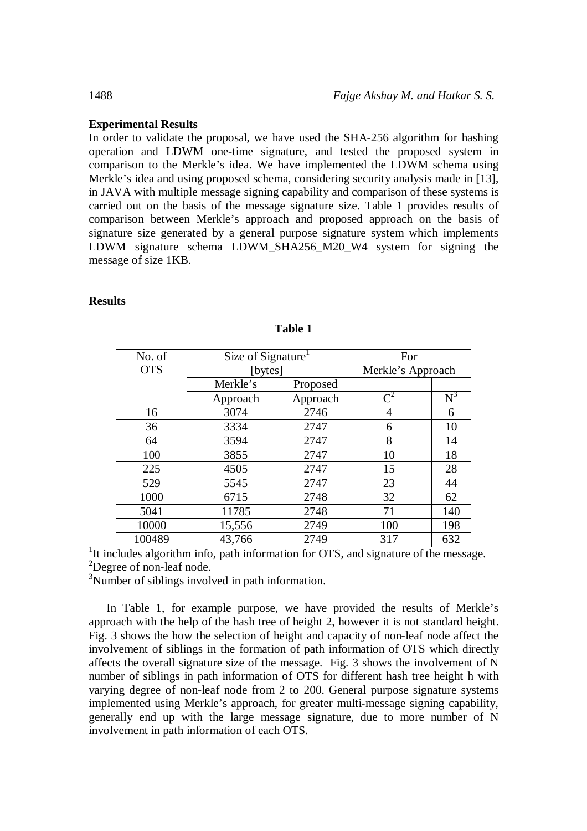# **Experimental Results**

In order to validate the proposal, we have used the SHA-256 algorithm for hashing operation and LDWM one-time signature, and tested the proposed system in comparison to the Merkle's idea. We have implemented the LDWM schema using Merkle's idea and using proposed schema, considering security analysis made in [13], in JAVA with multiple message signing capability and comparison of these systems is carried out on the basis of the message signature size. Table 1 provides results of comparison between Merkle's approach and proposed approach on the basis of signature size generated by a general purpose signature system which implements LDWM signature schema LDWM\_SHA256\_M20\_W4 system for signing the message of size 1KB.

# **Results**

| No. of     | Size of Signature <sup>1</sup> |          | For               |       |
|------------|--------------------------------|----------|-------------------|-------|
| <b>OTS</b> | [bytes]                        |          | Merkle's Approach |       |
|            | Merkle's                       | Proposed |                   |       |
|            | Approach                       | Approach | $\mathbb{C}^2$    | $N^3$ |
| 16         | 3074                           | 2746     | 4                 | 6     |
| 36         | 3334                           | 2747     | 6                 | 10    |
| 64         | 3594                           | 2747     | 8                 | 14    |
| 100        | 3855                           | 2747     | 10                | 18    |
| 225        | 4505                           | 2747     | 15                | 28    |
| 529        | 5545                           | 2747     | 23                | 44    |
| 1000       | 6715                           | 2748     | 32                | 62    |
| 5041       | 11785                          | 2748     | 71                | 140   |
| 10000      | 15,556                         | 2749     | 100               | 198   |
| 100489     | 43,766                         | 2749     | 317               | 632   |

**Table 1**

<sup>1</sup>It includes algorithm info, path information for OTS, and signature of the message. <sup>2</sup>Degree of non-leaf node.

<sup>3</sup>Number of siblings involved in path information.

In Table 1, for example purpose, we have provided the results of Merkle's approach with the help of the hash tree of height 2, however it is not standard height. Fig. 3 shows the how the selection of height and capacity of non-leaf node affect the involvement of siblings in the formation of path information of OTS which directly affects the overall signature size of the message. Fig. 3 shows the involvement of N number of siblings in path information of OTS for different hash tree height h with varying degree of non-leaf node from 2 to 200. General purpose signature systems implemented using Merkle's approach, for greater multi-message signing capability, generally end up with the large message signature, due to more number of N involvement in path information of each OTS.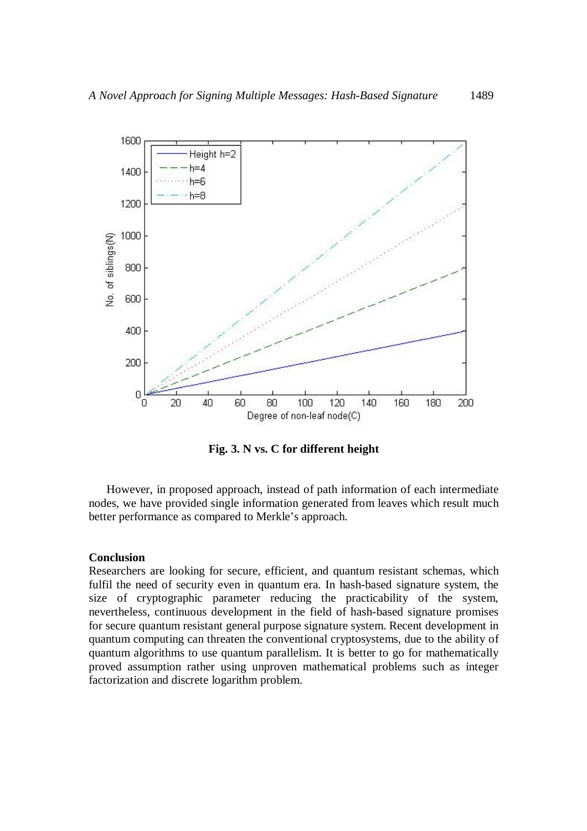

**Fig. 3. N vs. C for different height**

However, in proposed approach, instead of path information of each intermediate nodes, we have provided single information generated from leaves which result much better performance as compared to Merkle's approach.

#### **Conclusion**

Researchers are looking for secure, efficient, and quantum resistant schemas, which fulfil the need of security even in quantum era. In hash-based signature system, the size of cryptographic parameter reducing the practicability of the system, nevertheless, continuous development in the field of hash-based signature promises for secure quantum resistant general purpose signature system. Recent development in quantum computing can threaten the conventional cryptosystems, due to the ability of quantum algorithms to use quantum parallelism. It is better to go for mathematically proved assumption rather using unproven mathematical problems such as integer factorization and discrete logarithm problem.